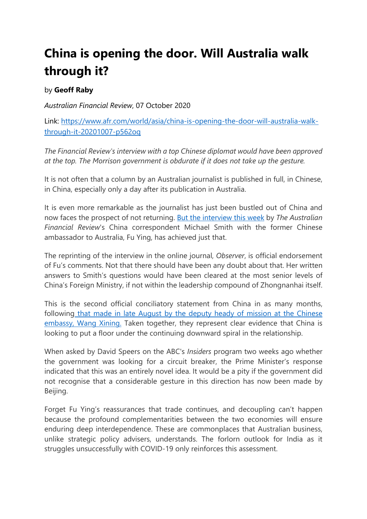## **China is opening the door. Will Australia walk through it?**

## by **Geoff Raby**

*Australian Financial Review*, 07 October 2020

Link: [https://www.afr.com/world/asia/china-is-opening-the-door-will-australia-walk](https://www.afr.com/world/asia/china-is-opening-the-door-will-australia-walk-through-it-20201007-p562oq)[through-it-20201007-p562oq](https://www.afr.com/world/asia/china-is-opening-the-door-will-australia-walk-through-it-20201007-p562oq)

*The Financial Review's interview with a top Chinese diplomat would have been approved at the top. The Morrison government is obdurate if it does not take up the gesture.*

It is not often that a column by an Australian journalist is published in full, in Chinese, in China, especially only a day after its publication in Australia.

It is even more remarkable as the journalist has just been bustled out of China and now faces the prospect of not returning. [But the interview this week](https://www.afr.com/link/follow-20180101-p5605c) by *The Australian Financial Review*'s China correspondent Michael Smith with the former Chinese ambassador to Australia, Fu Ying, has achieved just that.

The reprinting of the interview in the online journal, *Observer*, is official endorsement of Fu's comments. Not that there should have been any doubt about that. Her written answers to Smith's questions would have been cleared at the most senior levels of China's Foreign Ministry, if not within the leadership compound of Zhongnanhai itself.

This is the second official conciliatory statement from China in as many months, following [that made in late August by the deputy heady of mission at the Chinese](https://www.afr.com/link/follow-20180101-p55pfc)  embassy, [Wang Xining.](https://www.afr.com/link/follow-20180101-p55pfc) Taken together, they represent clear evidence that China is looking to put a floor under the continuing downward spiral in the relationship.

When asked by David Speers on the ABC's *Insiders* program two weeks ago whether the government was looking for a circuit breaker, the Prime Minister's response indicated that this was an entirely novel idea. It would be a pity if the government did not recognise that a considerable gesture in this direction has now been made by Beijing.

Forget Fu Ying's reassurances that trade continues, and decoupling can't happen because the profound complementarities between the two economies will ensure enduring deep interdependence. These are commonplaces that Australian business, unlike strategic policy advisers, understands. The forlorn outlook for India as it struggles unsuccessfully with COVID-19 only reinforces this assessment.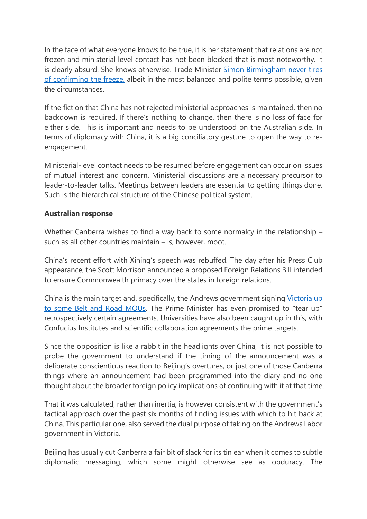In the face of what everyone knows to be true, it is her statement that relations are not frozen and ministerial level contact has not been blocked that is most noteworthy. It is clearly absurd. She knows otherwise. Trade Minister Simon Birmingham never tires [of confirming the freeze,](https://www.afr.com/link/follow-20180101-p55vh6) albeit in the most balanced and polite terms possible, given the circumstances.

If the fiction that China has not rejected ministerial approaches is maintained, then no backdown is required. If there's nothing to change, then there is no loss of face for either side. This is important and needs to be understood on the Australian side. In terms of diplomacy with China, it is a big conciliatory gesture to open the way to reengagement.

Ministerial-level contact needs to be resumed before engagement can occur on issues of mutual interest and concern. Ministerial discussions are a necessary precursor to leader-to-leader talks. Meetings between leaders are essential to getting things done. Such is the hierarchical structure of the Chinese political system.

## **Australian response**

Whether Canberra wishes to find a way back to some normalcy in the relationship – such as all other countries maintain – is, however, moot.

China's recent effort with Xining's speech was rebuffed. The day after his Press Club appearance, the Scott Morrison announced a proposed Foreign Relations Bill intended to ensure Commonwealth primacy over the states in foreign relations.

China is the main target and, specifically, the Andrews government signing [Victoria up](https://www.afr.com/link/follow-20180101-p55q5q)  [to some Belt and Road MOUs.](https://www.afr.com/link/follow-20180101-p55q5q) The Prime Minister has even promised to "tear up" retrospectively certain agreements. Universities have also been caught up in this, with Confucius Institutes and scientific collaboration agreements the prime targets.

Since the opposition is like a rabbit in the headlights over China, it is not possible to probe the government to understand if the timing of the announcement was a deliberate conscientious reaction to Beijing's overtures, or just one of those Canberra things where an announcement had been programmed into the diary and no one thought about the broader foreign policy implications of continuing with it at that time.

That it was calculated, rather than inertia, is however consistent with the government's tactical approach over the past six months of finding issues with which to hit back at China. This particular one, also served the dual purpose of taking on the Andrews Labor government in Victoria.

Beijing has usually cut Canberra a fair bit of slack for its tin ear when it comes to subtle diplomatic messaging, which some might otherwise see as obduracy. The